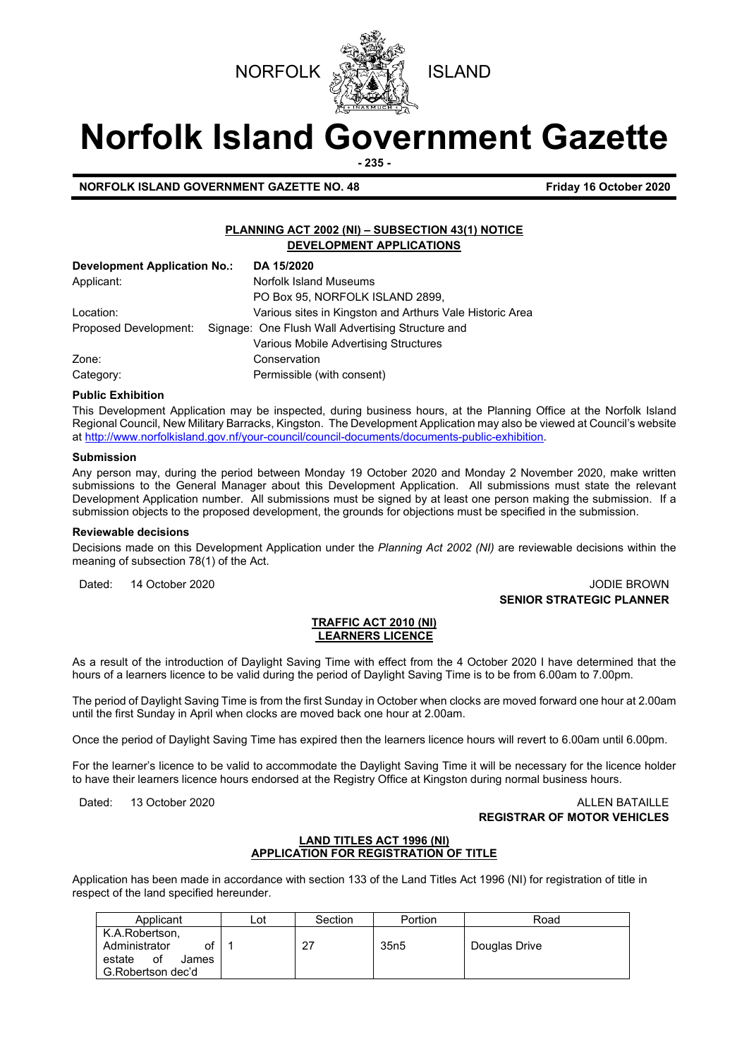



# **Norfolk Island Government Gazette**

**- 235 -**

**NORFOLK ISLAND GOVERNMENT GAZETTE NO. 48** *CONSERVERSION CONTROLY 16 October 2020* 

## **PLANNING ACT 2002 (NI) – SUBSECTION 43(1) NOTICE DEVELOPMENT APPLICATIONS**

| <b>Development Application No.:</b> | DA 15/2020                                               |
|-------------------------------------|----------------------------------------------------------|
| Applicant:                          | Norfolk Island Museums                                   |
|                                     | PO Box 95, NORFOLK ISLAND 2899,                          |
| Location:                           | Various sites in Kingston and Arthurs Vale Historic Area |
| Proposed Development:               | Signage: One Flush Wall Advertising Structure and        |
|                                     | Various Mobile Advertising Structures                    |
| Zone:                               | Conservation                                             |
| Category:                           | Permissible (with consent)                               |

#### **Public Exhibition**

This Development Application may be inspected, during business hours, at the Planning Office at the Norfolk Island Regional Council, New Military Barracks, Kingston. The Development Application may also be viewed at Council's website a[t http://www.norfolkisland.gov.nf/your-council/council-documents/documents-public-exhibition.](http://www.norfolkisland.gov.nf/your-council/council-documents/documents-public-exhibition)

#### **Submission**

Any person may, during the period between Monday 19 October 2020 and Monday 2 November 2020, make written submissions to the General Manager about this Development Application. All submissions must state the relevant Development Application number. All submissions must be signed by at least one person making the submission. If a submission objects to the proposed development, the grounds for objections must be specified in the submission.

#### **Reviewable decisions**

Decisions made on this Development Application under the *Planning Act 2002 (NI)* are reviewable decisions within the meaning of subsection 78(1) of the Act.

Dated: 14 October 2020 **JODIE BROWN SENIOR STRATEGIC PLANNER**

#### **TRAFFIC ACT 2010 (NI) LEARNERS LICENCE**

As a result of the introduction of Daylight Saving Time with effect from the 4 October 2020 I have determined that the hours of a learners licence to be valid during the period of Daylight Saving Time is to be from 6.00am to 7.00pm.

The period of Daylight Saving Time is from the first Sunday in October when clocks are moved forward one hour at 2.00am until the first Sunday in April when clocks are moved back one hour at 2.00am.

Once the period of Daylight Saving Time has expired then the learners licence hours will revert to 6.00am until 6.00pm.

For the learner's licence to be valid to accommodate the Daylight Saving Time it will be necessary for the licence holder to have their learners licence hours endorsed at the Registry Office at Kingston during normal business hours.

#### Dated: 13 October 2020 **ALLEN BATAILLE REGISTRAR OF MOTOR VEHICLES**

### **LAND TITLES ACT 1996 (NI) APPLICATION FOR REGISTRATION OF TITLE**

Application has been made in accordance with section 133 of the Land Titles Act 1996 (NI) for registration of title in respect of the land specified hereunder.

| Applicant                                                                           | ∟ot | Section | Portion           | Road          |
|-------------------------------------------------------------------------------------|-----|---------|-------------------|---------------|
| K.A.Robertson,<br>Administrator<br>0t<br>estate<br>0f<br>James<br>G.Robertson dec'd |     | 27      | 35 <sub>n</sub> 5 | Douglas Drive |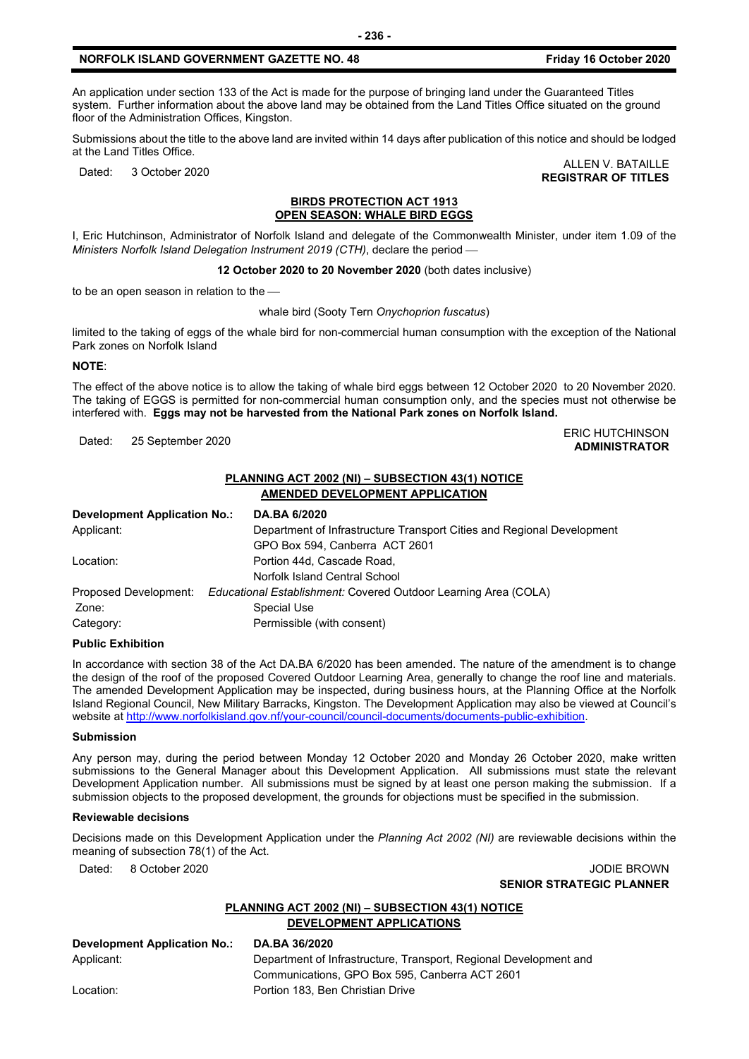An application under section 133 of the Act is made for the purpose of bringing land under the Guaranteed Titles system. Further information about the above land may be obtained from the Land Titles Office situated on the ground floor of the Administration Offices, Kingston.

Submissions about the title to the above land are invited within 14 days after publication of this notice and should be lodged at the Land Titles Office.

Dated: 3 October 2020 ALLEN V. BATAILLE **REGISTRAR OF TITLES**

#### **BIRDS PROTECTION ACT 1913 OPEN SEASON: WHALE BIRD EGGS**

I, Eric Hutchinson, Administrator of Norfolk Island and delegate of the Commonwealth Minister, under item 1.09 of the *Ministers Norfolk Island Delegation Instrument 2019 (CTH)*, declare the period

**12 October 2020 to 20 November 2020** (both dates inclusive)

to be an open season in relation to the

whale bird (Sooty Tern *Onychoprion fuscatus*)

limited to the taking of eggs of the whale bird for non-commercial human consumption with the exception of the National Park zones on Norfolk Island

#### **NOTE**:

The effect of the above notice is to allow the taking of whale bird eggs between 12 October 2020 to 20 November 2020. The taking of EGGS is permitted for non-commercial human consumption only, and the species must not otherwise be interfered with. **Eggs may not be harvested from the National Park zones on Norfolk Island.**

ERIC HUTCHINSON<br>Dated: 25 September 2020

## **ADMINISTRATOR**

### **PLANNING ACT 2002 (NI) – SUBSECTION 43(1) NOTICE AMENDED DEVELOPMENT APPLICATION**

| Development Application No.: | DA.BA 6/2020                                                           |
|------------------------------|------------------------------------------------------------------------|
| Applicant:                   | Department of Infrastructure Transport Cities and Regional Development |
|                              | GPO Box 594, Canberra ACT 2601                                         |
| Location:                    | Portion 44d, Cascade Road,                                             |
|                              | Norfolk Island Central School                                          |
| Proposed Development:        | Educational Establishment: Covered Outdoor Learning Area (COLA)        |
| Zone:                        | Special Use                                                            |
| Category:                    | Permissible (with consent)                                             |

#### **Public Exhibition**

In accordance with section 38 of the Act DA.BA 6/2020 has been amended. The nature of the amendment is to change the design of the roof of the proposed Covered Outdoor Learning Area, generally to change the roof line and materials. The amended Development Application may be inspected, during business hours, at the Planning Office at the Norfolk Island Regional Council, New Military Barracks, Kingston. The Development Application may also be viewed at Council's website a[t http://www.norfolkisland.gov.nf/your-council/council-documents/documents-public-exhibition.](http://www.norfolkisland.gov.nf/your-council/council-documents/documents-public-exhibition)

#### **Submission**

Any person may, during the period between Monday 12 October 2020 and Monday 26 October 2020, make written submissions to the General Manager about this Development Application. All submissions must state the relevant Development Application number. All submissions must be signed by at least one person making the submission. If a submission objects to the proposed development, the grounds for objections must be specified in the submission.

#### **Reviewable decisions**

Decisions made on this Development Application under the *Planning Act 2002 (NI)* are reviewable decisions within the meaning of subsection 78(1) of the Act.

Dated: 8 October 2020 JODIE BROWN

**SENIOR STRATEGIC PLANNER**

## **PLANNING ACT 2002 (NI) – SUBSECTION 43(1) NOTICE DEVELOPMENT APPLICATIONS**

**Development Application No.: DA.BA 36/2020**

Applicant: Department of Infrastructure, Transport, Regional Development and Communications, GPO Box 595, Canberra ACT 2601 Location: Portion 183, Ben Christian Drive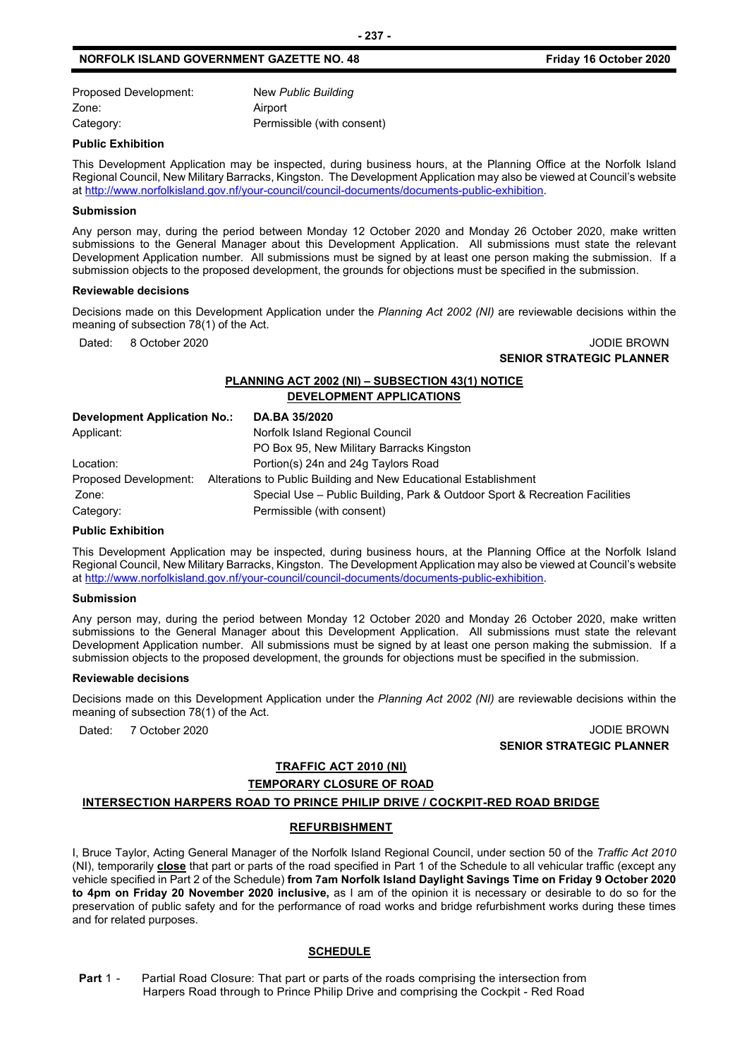## **NORFOLK ISLAND GOVERNMENT GAZETTE NO. 48** *CONSERVERSION Friday 16 October 2020*

| Proposed Development: | New Public Building        |
|-----------------------|----------------------------|
| Zone:                 | Airport                    |
| Category:             | Permissible (with consent) |

#### **Public Exhibition**

This Development Application may be inspected, during business hours, at the Planning Office at the Norfolk Island Regional Council, New Military Barracks, Kingston. The Development Application may also be viewed at Council's website a[t http://www.norfolkisland.gov.nf/your-council/council-documents/documents-public-exhibition.](http://www.norfolkisland.gov.nf/your-council/council-documents/documents-public-exhibition)

#### **Submission**

Any person may, during the period between Monday 12 October 2020 and Monday 26 October 2020, make written submissions to the General Manager about this Development Application. All submissions must state the relevant Development Application number. All submissions must be signed by at least one person making the submission. If a submission objects to the proposed development, the grounds for objections must be specified in the submission.

#### **Reviewable decisions**

Decisions made on this Development Application under the *Planning Act 2002 (NI)* are reviewable decisions within the meaning of subsection 78(1) of the Act.

Dated: 8 October 2020 JODIE BROWN **SENIOR STRATEGIC PLANNER** 

## **PLANNING ACT 2002 (NI) – SUBSECTION 43(1) NOTICE DEVELOPMENT APPLICATIONS**

| Development Application No.: | DA.BA 35/2020                                                               |
|------------------------------|-----------------------------------------------------------------------------|
| Applicant:                   | Norfolk Island Regional Council                                             |
|                              | PO Box 95, New Military Barracks Kingston                                   |
| Location:                    | Portion(s) 24n and 24g Taylors Road                                         |
| Proposed Development:        | Alterations to Public Building and New Educational Establishment            |
| Zone:                        | Special Use – Public Building, Park & Outdoor Sport & Recreation Facilities |
| Category:                    | Permissible (with consent)                                                  |

#### **Public Exhibition**

This Development Application may be inspected, during business hours, at the Planning Office at the Norfolk Island Regional Council, New Military Barracks, Kingston. The Development Application may also be viewed at Council's website a[t http://www.norfolkisland.gov.nf/your-council/council-documents/documents-public-exhibition.](http://www.norfolkisland.gov.nf/your-council/council-documents/documents-public-exhibition)

#### **Submission**

Any person may, during the period between Monday 12 October 2020 and Monday 26 October 2020, make written submissions to the General Manager about this Development Application. All submissions must state the relevant Development Application number. All submissions must be signed by at least one person making the submission. If a submission objects to the proposed development, the grounds for objections must be specified in the submission.

#### **Reviewable decisions**

Decisions made on this Development Application under the *Planning Act 2002 (NI)* are reviewable decisions within the meaning of subsection 78(1) of the Act.

Dated: 7 October 2020 JODIE BROWN **SENIOR STRATEGIC PLANNER**

## **TRAFFIC ACT 2010 (NI)**

## **TEMPORARY CLOSURE OF ROAD**

### **INTERSECTION HARPERS ROAD TO PRINCE PHILIP DRIVE / COCKPIT-RED ROAD BRIDGE**

#### **REFURBISHMENT**

I, Bruce Taylor, Acting General Manager of the Norfolk Island Regional Council, under section 50 of the *Traffic Act 2010* (NI), temporarily **close** that part or parts of the road specified in Part 1 of the Schedule to all vehicular traffic (except any vehicle specified in Part 2 of the Schedule) **from 7am Norfolk Island Daylight Savings Time on Friday 9 October 2020 to 4pm on Friday 20 November 2020 inclusive,** as I am of the opinion it is necessary or desirable to do so for the preservation of public safety and for the performance of road works and bridge refurbishment works during these times and for related purposes.

#### **SCHEDULE**

**Part 1 -** Partial Road Closure: That part or parts of the roads comprising the intersection from Harpers Road through to Prince Philip Drive and comprising the Cockpit - Red Road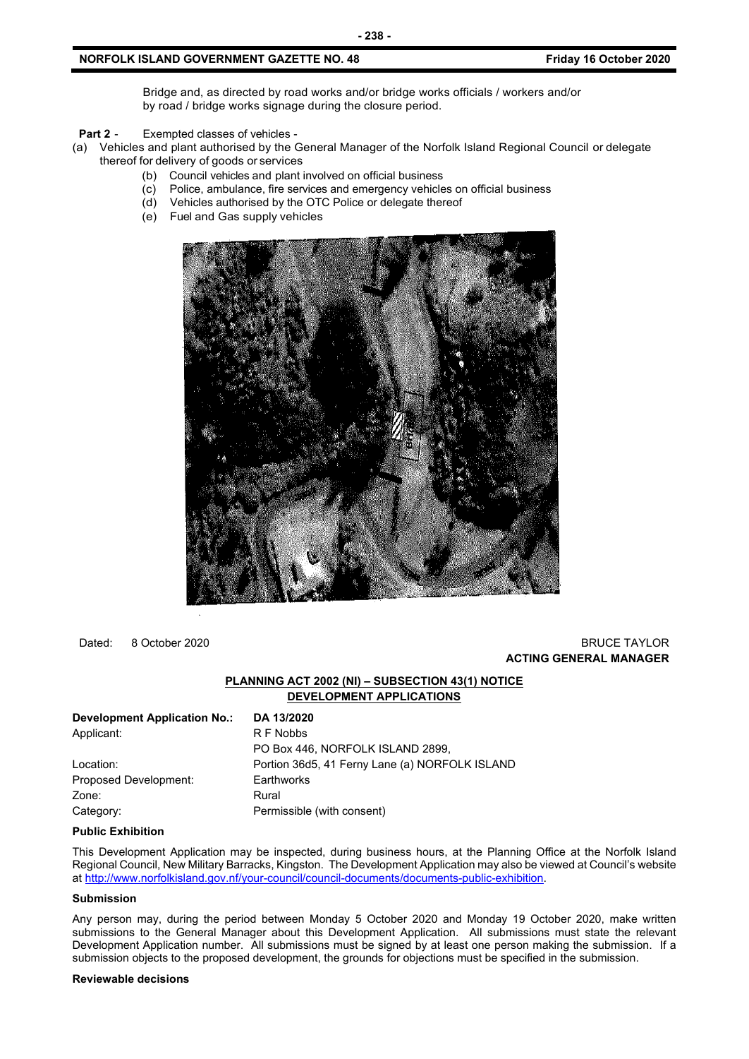Bridge and, as directed by road works and/or bridge works officials / workers and/or by road / bridge works signage during the closure period.

**Part 2** - Exempted classes of vehicles -

- (a) Vehicles and plant authorised by the General Manager of the Norfolk Island Regional Council or delegate thereof for delivery of goods or services
	- (b) Council vehicles and plant involved on official business
	- (c) Police, ambulance, fire services and emergency vehicles on official business
	- (d) Vehicles authorised by the OTC Police or delegate thereof
	- (e) Fuel and Gas supply vehicles



Dated: 8 October 2020 BRUCE TAYLOR

## **ACTING GENERAL MANAGER**

## **PLANNING ACT 2002 (NI) – SUBSECTION 43(1) NOTICE DEVELOPMENT APPLICATIONS**

| <b>Development Application No.:</b> | DA 13/2020                                     |
|-------------------------------------|------------------------------------------------|
| Applicant:                          | R F Nobbs                                      |
|                                     | PO Box 446, NORFOLK ISLAND 2899,               |
| Location:                           | Portion 36d5, 41 Ferny Lane (a) NORFOLK ISLAND |
| Proposed Development:               | Earthworks                                     |
| Zone:                               | Rural                                          |
| Category:                           | Permissible (with consent)                     |

#### **Public Exhibition**

This Development Application may be inspected, during business hours, at the Planning Office at the Norfolk Island Regional Council, New Military Barracks, Kingston. The Development Application may also be viewed at Council's website a[t http://www.norfolkisland.gov.nf/your-council/council-documents/documents-public-exhibition.](http://www.norfolkisland.gov.nf/your-council/council-documents/documents-public-exhibition)

#### **Submission**

Any person may, during the period between Monday 5 October 2020 and Monday 19 October 2020, make written submissions to the General Manager about this Development Application. All submissions must state the relevant Development Application number. All submissions must be signed by at least one person making the submission. If a submission objects to the proposed development, the grounds for objections must be specified in the submission.

#### **Reviewable decisions**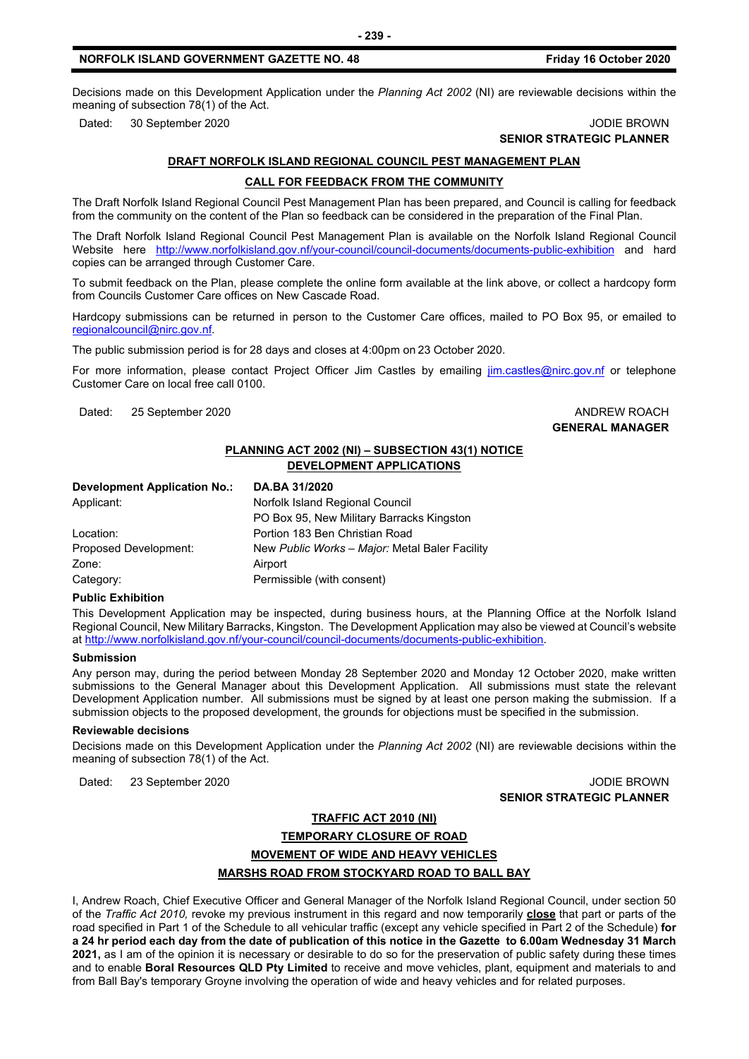Decisions made on this Development Application under the *Planning Act 2002* (NI) are reviewable decisions within the meaning of subsection 78(1) of the Act.

Dated: 30 September 2020 **JODIE BROWN** 

## **SENIOR STRATEGIC PLANNER**

## **DRAFT NORFOLK ISLAND REGIONAL COUNCIL PEST MANAGEMENT PLAN**

#### **CALL FOR FEEDBACK FROM THE COMMUNITY**

The Draft Norfolk Island Regional Council Pest Management Plan has been prepared, and Council is calling for feedback from the community on the content of the Plan so feedback can be considered in the preparation of the Final Plan.

The Draft Norfolk Island Regional Council Pest Management Plan is available on the Norfolk Island Regional Council Website here <http://www.norfolkisland.gov.nf/your-council/council-documents/documents-public-exhibition> and hard copies can be arranged through Customer Care.

To submit feedback on the Plan, please complete the online form available at the link above, or collect a hardcopy form from Councils Customer Care offices on New Cascade Road.

Hardcopy submissions can be returned in person to the Customer Care offices, mailed to PO Box 95, or emailed to [regionalcouncil@nirc.gov.nf.](mailto:regionalcouncil@nirc.gov.nf)

The public submission period is for 28 days and closes at 4:00pm on 23 October 2020.

For more information, please contact Project Officer Jim Castles by emailing [jim.castles@nirc.gov.nf](mailto:jim.castles@nirc.gov.nf) or telephone Customer Care on local free call 0100.

Dated: 25 September 2020 **ANDREW ROACH CONSIDERER AND ANDREW ROACH** 

## **GENERAL MANAGER**

## **PLANNING ACT 2002 (NI) – SUBSECTION 43(1) NOTICE DEVELOPMENT APPLICATIONS**

| <b>Development Application No.:</b> | DA.BA 31/2020                                  |  |  |
|-------------------------------------|------------------------------------------------|--|--|
| Applicant:                          | Norfolk Island Regional Council                |  |  |
|                                     | PO Box 95, New Military Barracks Kingston      |  |  |
| Location:                           | Portion 183 Ben Christian Road                 |  |  |
| Proposed Development:               | New Public Works - Major: Metal Baler Facility |  |  |
| Zone:                               | Airport                                        |  |  |
| Category:                           | Permissible (with consent)                     |  |  |

#### **Public Exhibition**

This Development Application may be inspected, during business hours, at the Planning Office at the Norfolk Island Regional Council, New Military Barracks, Kingston. The Development Application may also be viewed at Council's website a[t http://www.norfolkisland.gov.nf/your-council/council-documents/documents-public-exhibition.](http://www.norfolkisland.gov.nf/your-council/council-documents/documents-public-exhibition)

#### **Submission**

Any person may, during the period between Monday 28 September 2020 and Monday 12 October 2020, make written submissions to the General Manager about this Development Application. All submissions must state the relevant Development Application number. All submissions must be signed by at least one person making the submission. If a submission objects to the proposed development, the grounds for objections must be specified in the submission.

#### **Reviewable decisions**

Decisions made on this Development Application under the *Planning Act 2002* (NI) are reviewable decisions within the meaning of subsection 78(1) of the Act.

Dated: 23 September 2020 JODIE BROWN **SENIOR STRATEGIC PLANNER**

## **TRAFFIC ACT 2010 (NI)**

**TEMPORARY CLOSURE OF ROAD**

## **MOVEMENT OF WIDE AND HEAVY VEHICLES MARSHS ROAD FROM STOCKYARD ROAD TO BALL BAY**

I, Andrew Roach, Chief Executive Officer and General Manager of the Norfolk Island Regional Council, under section 50 of the *Traffic Act 2010,* revoke my previous instrument in this regard and now temporarily **close** that part or parts of the road specified in Part 1 of the Schedule to all vehicular traffic (except any vehicle specified in Part 2 of the Schedule) **for a 24 hr period each day from the date of publication of this notice in the Gazette to 6.00am Wednesday 31 March 2021,** as I am of the opinion it is necessary or desirable to do so for the preservation of public safety during these times and to enable **Boral Resources QLD Pty Limited** to receive and move vehicles, plant, equipment and materials to and from Ball Bay's temporary Groyne involving the operation of wide and heavy vehicles and for related purposes.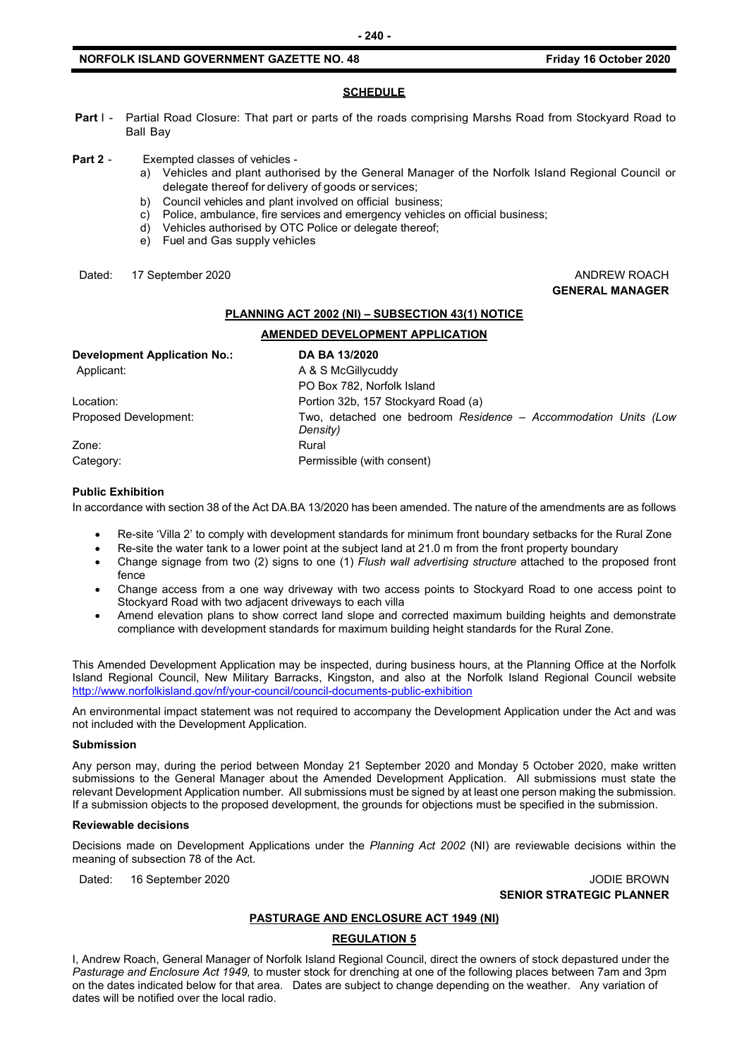#### **NORFOLK ISLAND GOVERNMENT GAZETTE NO. 48** *CONSERVERSION Friday 16 October 2020*

## **SCHEDULE**

**Part I -** Partial Road Closure: That part or parts of the roads comprising Marshs Road from Stockyard Road to Ball Bay

#### **Part 2** - Exempted classes of vehicles -

- a) Vehicles and plant authorised by the General Manager of the Norfolk Island Regional Council or delegate thereof for delivery of goods or services;
- b) Council vehicles and plant involved on official business;
- c) Police, ambulance, fire services and emergency vehicles on official business;
- d) Vehicles authorised by OTC Police or delegate thereof;
- e) Fuel and Gas supply vehicles

Dated: 17 September 2020 **ANDREW ROACH CONSIDERER AND ANDREW ROACH** 

## **GENERAL MANAGER**

#### **PLANNING ACT 2002 (NI) – SUBSECTION 43(1) NOTICE**

#### **AMENDED DEVELOPMENT APPLICATION**

| <b>Development Application No.:</b> | DA BA 13/2020                                                              |
|-------------------------------------|----------------------------------------------------------------------------|
| Applicant:                          | A & S McGillycuddy                                                         |
|                                     | PO Box 782, Norfolk Island                                                 |
| Location:                           | Portion 32b, 157 Stockyard Road (a)                                        |
| Proposed Development:               | Two, detached one bedroom Residence - Accommodation Units (Low<br>Density) |
| Zone:                               | Rural                                                                      |
| Category:                           | Permissible (with consent)                                                 |

### **Public Exhibition**

In accordance with section 38 of the Act DA.BA 13/2020 has been amended. The nature of the amendments are as follows

- Re-site 'Villa 2' to comply with development standards for minimum front boundary setbacks for the Rural Zone
- Re-site the water tank to a lower point at the subject land at 21.0 m from the front property boundary
- Change signage from two (2) signs to one (1) *Flush wall advertising structure* attached to the proposed front fence
- Change access from a one way driveway with two access points to Stockyard Road to one access point to Stockyard Road with two adjacent driveways to each villa
- Amend elevation plans to show correct land slope and corrected maximum building heights and demonstrate compliance with development standards for maximum building height standards for the Rural Zone.

This Amended Development Application may be inspected, during business hours, at the Planning Office at the Norfolk Island Regional Council, New Military Barracks, Kingston, and also at the Norfolk Island Regional Council website <http://www.norfolkisland.gov/nf/your-council/council-documents-public-exhibition>

An environmental impact statement was not required to accompany the Development Application under the Act and was not included with the Development Application.

#### **Submission**

Any person may, during the period between Monday 21 September 2020 and Monday 5 October 2020, make written submissions to the General Manager about the Amended Development Application. All submissions must state the relevant Development Application number. All submissions must be signed by at least one person making the submission. If a submission objects to the proposed development, the grounds for objections must be specified in the submission.

#### **Reviewable decisions**

Decisions made on Development Applications under the *Planning Act 2002* (NI) are reviewable decisions within the meaning of subsection 78 of the Act.

Dated: 16 September 2020 JODIE BROWN

**SENIOR STRATEGIC PLANNER** 

#### **PASTURAGE AND ENCLOSURE ACT 1949 (NI)**

#### **REGULATION 5**

I, Andrew Roach, General Manager of Norfolk Island Regional Council, direct the owners of stock depastured under the *Pasturage and Enclosure Act 1949,* to muster stock for drenching at one of the following places between 7am and 3pm on the dates indicated below for that area. Dates are subject to change depending on the weather. Any variation of dates will be notified over the local radio.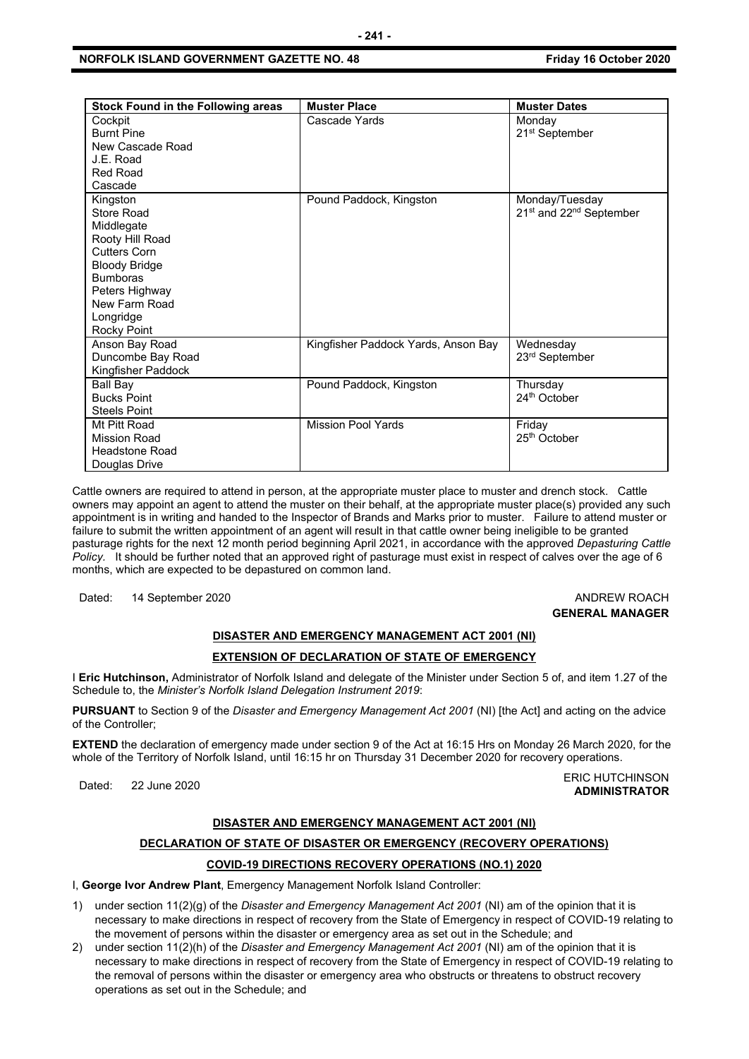### **NORFOLK ISLAND GOVERNMENT GAZETTE NO. 48** *CONSERVERSION Friday 16 October 2020*

| <b>Stock Found in the Following areas</b>                                                                                                                                                       | <b>Muster Place</b>                 | <b>Muster Dates</b>                                               |
|-------------------------------------------------------------------------------------------------------------------------------------------------------------------------------------------------|-------------------------------------|-------------------------------------------------------------------|
| Cockpit<br><b>Burnt Pine</b><br>New Cascade Road<br>J.E. Road<br><b>Red Road</b><br>Cascade                                                                                                     | Cascade Yards                       | Monday<br>21 <sup>st</sup> September                              |
| Kingston<br>Store Road<br>Middlegate<br>Rooty Hill Road<br><b>Cutters Corn</b><br><b>Bloody Bridge</b><br><b>Bumboras</b><br>Peters Highway<br>New Farm Road<br>Longridge<br><b>Rocky Point</b> | Pound Paddock, Kingston             | Monday/Tuesday<br>21 <sup>st</sup> and 22 <sup>nd</sup> September |
| Anson Bay Road<br>Duncombe Bay Road<br>Kingfisher Paddock                                                                                                                                       | Kingfisher Paddock Yards, Anson Bay | Wednesday<br>23 <sup>rd</sup> September                           |
| Ball Bay<br><b>Bucks Point</b><br><b>Steels Point</b>                                                                                                                                           | Pound Paddock, Kingston             | Thursday<br>24th October                                          |
| Mt Pitt Road<br><b>Mission Road</b><br><b>Headstone Road</b><br>Douglas Drive                                                                                                                   | <b>Mission Pool Yards</b>           | Friday<br>25 <sup>th</sup> October                                |

Cattle owners are required to attend in person, at the appropriate muster place to muster and drench stock. Cattle owners may appoint an agent to attend the muster on their behalf, at the appropriate muster place(s) provided any such appointment is in writing and handed to the Inspector of Brands and Marks prior to muster. Failure to attend muster or failure to submit the written appointment of an agent will result in that cattle owner being ineligible to be granted pasturage rights for the next 12 month period beginning April 2021, in accordance with the approved *Depasturing Cattle Policy.* It should be further noted that an approved right of pasturage must exist in respect of calves over the age of 6 months, which are expected to be depastured on common land.

Dated: 14 September 2020 **ANDREW ROACH ANDREW ROACH** 

## **GENERAL MANAGER**

## **DISASTER AND EMERGENCY MANAGEMENT ACT 2001 (NI)**

## **EXTENSION OF DECLARATION OF STATE OF EMERGENCY**

I **Eric Hutchinson,** Administrator of Norfolk Island and delegate of the Minister under Section 5 of, and item 1.27 of the Schedule to, the *Minister's Norfolk Island Delegation Instrument 2019*:

**PURSUANT** to Section 9 of the *Disaster and Emergency Management Act 2001* (NI) [the Act] and acting on the advice of the Controller;

**EXTEND** the declaration of emergency made under section 9 of the Act at 16:15 Hrs on Monday 26 March 2020, for the whole of the Territory of Norfolk Island, until 16:15 hr on Thursday 31 December 2020 for recovery operations.

#### Dated: 22 June 2020<br>Dated: 22 June 2020 **ADMINISTRATOR**

#### **DISASTER AND EMERGENCY MANAGEMENT ACT 2001 (NI)**

## **DECLARATION OF STATE OF DISASTER OR EMERGENCY (RECOVERY OPERATIONS)**

## **COVID-19 DIRECTIONS RECOVERY OPERATIONS (NO.1) 2020**

I, **George Ivor Andrew Plant**, Emergency Management Norfolk Island Controller:

- 1) under section 11(2)(g) of the *Disaster and Emergency Management Act 2001* (NI) am of the opinion that it is necessary to make directions in respect of recovery from the State of Emergency in respect of COVID-19 relating to the movement of persons within the disaster or emergency area as set out in the Schedule; and
- 2) under section 11(2)(h) of the *Disaster and Emergency Management Act 2001* (NI) am of the opinion that it is necessary to make directions in respect of recovery from the State of Emergency in respect of COVID-19 relating to the removal of persons within the disaster or emergency area who obstructs or threatens to obstruct recovery operations as set out in the Schedule; and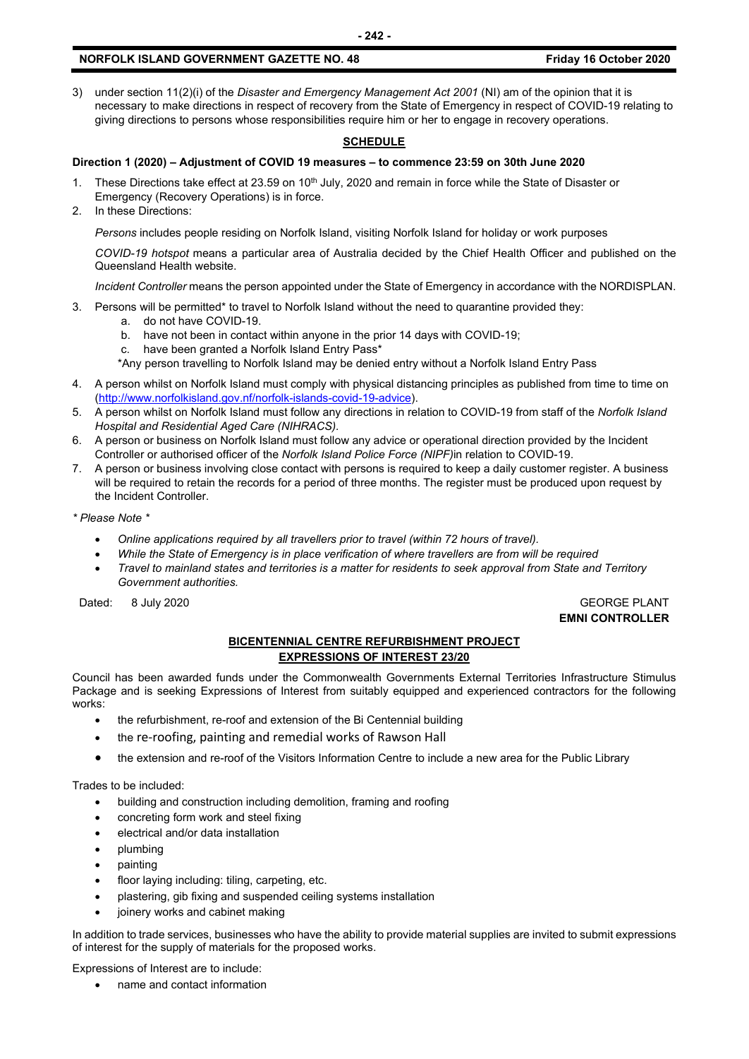3) under section 11(2)(i) of the *Disaster and Emergency Management Act 2001* (NI) am of the opinion that it is necessary to make directions in respect of recovery from the State of Emergency in respect of COVID-19 relating to giving directions to persons whose responsibilities require him or her to engage in recovery operations.

### **SCHEDULE**

## **Direction 1 (2020) – Adjustment of COVID 19 measures – to commence 23:59 on 30th June 2020**

- 1. These Directions take effect at 23.59 on 10<sup>th</sup> July, 2020 and remain in force while the State of Disaster or Emergency (Recovery Operations) is in force.
- 2. In these Directions:

*Persons* includes people residing on Norfolk Island, visiting Norfolk Island for holiday or work purposes

*COVID-19 hotspot* means a particular area of Australia decided by the Chief Health Officer and published on the Queensland Health website.

*Incident Controller* means the person appointed under the State of Emergency in accordance with the NORDISPLAN.

- 3. Persons will be permitted\* to travel to Norfolk Island without the need to quarantine provided they:
	- a. do not have COVID-19.
		- b. have not been in contact within anyone in the prior 14 days with COVID-19;
		- c. have been granted a Norfolk Island Entry Pass\*
		- \*Any person travelling to Norfolk Island may be denied entry without a Norfolk Island Entry Pass
- 4. A person whilst on Norfolk Island must comply with physical distancing principles as published from time to time on [\(http://www.norfolkisland.gov.nf/norfolk-islands-covid-19-advice\)](http://www.norfolkisland.gov.nf/norfolk-islands-covid-19-advice).
- 5. A person whilst on Norfolk Island must follow any directions in relation to COVID-19 from staff of the *Norfolk Island Hospital and Residential Aged Care (NIHRACS).*
- 6. A person or business on Norfolk Island must follow any advice or operational direction provided by the Incident Controller or authorised officer of the *Norfolk Island Police Force (NIPF)*in relation to COVID-19.
- 7. A person or business involving close contact with persons is required to keep a daily customer register. A business will be required to retain the records for a period of three months. The register must be produced upon request by the Incident Controller.
- *\* Please Note \** 
	- *Online applications required by all travellers prior to travel (within 72 hours of travel).*
	- *While the State of Emergency is in place verification of where travellers are from will be required*
	- *Travel to mainland states and territories is a matter for residents to seek approval from State and Territory Government authorities.*

Dated: 8 July 2020 GEORGE PLANT

**EMNI CONTROLLER**

## **BICENTENNIAL CENTRE REFURBISHMENT PROJECT EXPRESSIONS OF INTEREST 23/20**

Council has been awarded funds under the Commonwealth Governments External Territories Infrastructure Stimulus Package and is seeking Expressions of Interest from suitably equipped and experienced contractors for the following works:

- the refurbishment, re-roof and extension of the Bi Centennial building
- the re-roofing, painting and remedial works of Rawson Hall
- the extension and re-roof of the Visitors Information Centre to include a new area for the Public Library

Trades to be included:

- building and construction including demolition, framing and roofing
- concreting form work and steel fixing
- electrical and/or data installation
- plumbing
- painting
- floor laying including: tiling, carpeting, etc.
- plastering, gib fixing and suspended ceiling systems installation
- joinery works and cabinet making

In addition to trade services, businesses who have the ability to provide material supplies are invited to submit expressions of interest for the supply of materials for the proposed works.

Expressions of Interest are to include:

• name and contact information